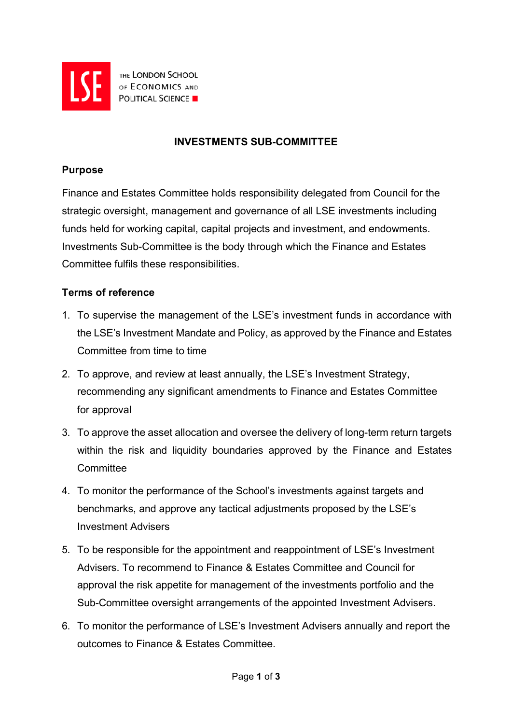

THE LONDON SCHOOL **EXERCISE AND DESCRIPTION SCHOOL POLITICAL SCIENCE** 

# **INVESTMENTS SUB-COMMITTEE**

### **Purpose**

Finance and Estates Committee holds responsibility delegated from Council for the strategic oversight, management and governance of all LSE investments including funds held for working capital, capital projects and investment, and endowments. Investments Sub-Committee is the body through which the Finance and Estates Committee fulfils these responsibilities.

# **Terms of reference**

- 1. To supervise the management of the LSE's investment funds in accordance with the LSE's Investment Mandate and Policy, as approved by the Finance and Estates Committee from time to time
- 2. To approve, and review at least annually, the LSE's Investment Strategy, recommending any significant amendments to Finance and Estates Committee for approval
- 3. To approve the asset allocation and oversee the delivery of long-term return targets within the risk and liquidity boundaries approved by the Finance and Estates **Committee**
- 4. To monitor the performance of the School's investments against targets and benchmarks, and approve any tactical adjustments proposed by the LSE's Investment Advisers
- 5. To be responsible for the appointment and reappointment of LSE's Investment Advisers. To recommend to Finance & Estates Committee and Council for approval the risk appetite for management of the investments portfolio and the Sub-Committee oversight arrangements of the appointed Investment Advisers.
- 6. To monitor the performance of LSE's Investment Advisers annually and report the outcomes to Finance & Estates Committee.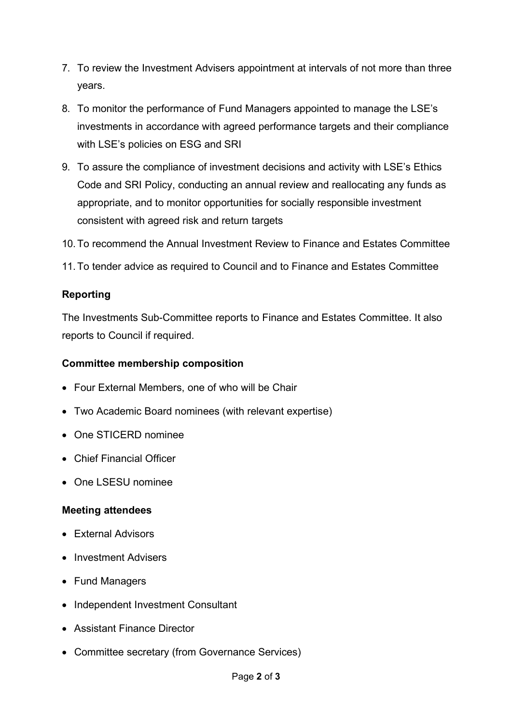- 7. To review the Investment Advisers appointment at intervals of not more than three years.
- 8. To monitor the performance of Fund Managers appointed to manage the LSE's investments in accordance with agreed performance targets and their compliance with LSE's policies on ESG and SRI
- 9. To assure the compliance of investment decisions and activity with LSE's Ethics Code and SRI Policy, conducting an annual review and reallocating any funds as appropriate, and to monitor opportunities for socially responsible investment consistent with agreed risk and return targets
- 10.To recommend the Annual Investment Review to Finance and Estates Committee
- 11.To tender advice as required to Council and to Finance and Estates Committee

# **Reporting**

The Investments Sub-Committee reports to Finance and Estates Committee. It also reports to Council if required.

#### **Committee membership composition**

- Four External Members, one of who will be Chair
- Two Academic Board nominees (with relevant expertise)
- One STICERD nominee
- Chief Financial Officer
- One LSESU nominee

### **Meeting attendees**

- External Advisors
- Investment Advisers
- Fund Managers
- Independent Investment Consultant
- Assistant Finance Director
- Committee secretary (from Governance Services)